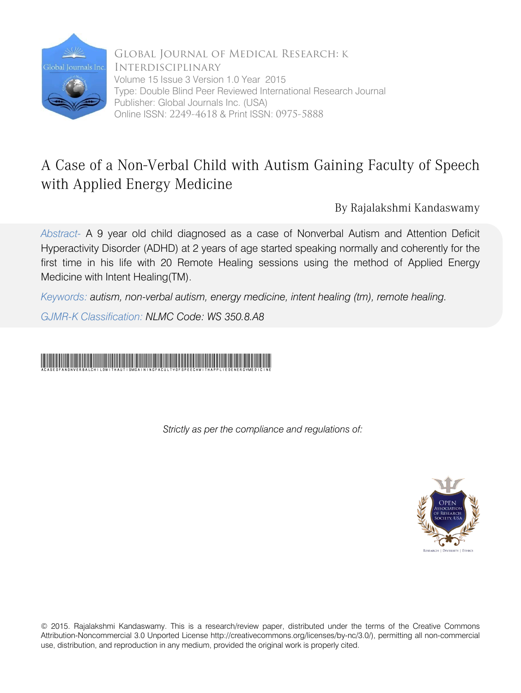

Global Journal of Medical Research: K Interdisciplinary Volume 15 Issue 3 Version 1.0 Year 2015 Type: Double Blind Peer Reviewed International Research Journal Publisher: Global Journals Inc. (USA) Online ISSN: 2249-4618 & Print ISSN: 0975-5888

# A Case of a Non-Verbal Child with Autism Gaining Faculty of Speech with Applied Energy Medicine

By Rajalakshmi Kandaswamy

*Abstract-* A 9 year old child diagnosed as a case of Nonverbal Autism and Attention Deficit Hyperactivity Disorder (ADHD) at 2 years of age started speaking normally and coherently for the first time in his life with 20 Remote Healing sessions using the method of Applied Energy Medicine with Intent Healing(TM).

*Keywords: autism, non-verbal autism, energy medicine, intent healing (tm), remote healing.*

*GJMR-K Classification: NLMC Code: WS 350.8.A8* 

# ACaseofaNonVerbalChildwithAutismGainingFacultyofSpeechwithAppliedEnergyMedicine

*Strictly as per the compliance and regulations of:*



© 2015. Rajalakshmi Kandaswamy. This is a research/review paper, distributed under the terms of the Creative Commons Attribution-Noncommercial 3.0 Unported License http://creativecommons.org/licenses/by-nc/3.0/), permitting all non-commercial use, distribution, and reproduction in any medium, provided the original work is properly cited.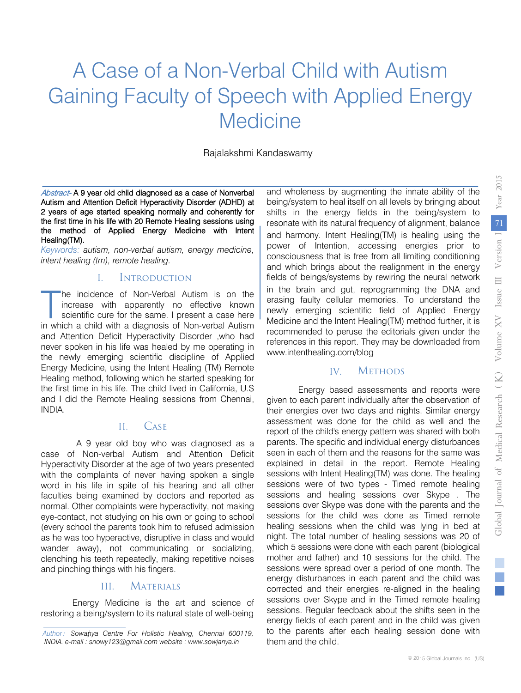# A Case of a Non-Verbal Child with Autism Gaining Faculty of Speech with Applied Energy **Medicine**

Rajalakshmi Kandaswamy

Abstract- A 9 year old child diagnosed as a case of Nonverbal Autism and Attention Deficit Hyperactivity Disorder (ADHD) at 2 years of age started speaking normally and coherently for the first time in his life with 20 Remote Healing sessions using the method of Applied Energy Medicine with Intent Healing(TM).

*Keywords: autism, non-verbal autism, energy medicine, intent healing (tm), remote healing.*

#### I. Introduction

he incidence of Non-Verbal Autism is on the increase with apparently no effective known scientific cure for the same. I present a case here The incidence of Non-Verbal Autism is on the increase with apparently no effective known scientific cure for the same. I present a case here in which a child with a diagnosis of Non-verbal Autism and Attention Deficit Hyperactivity Disorder ,who had never spoken in his life was healed by me operating in the newly emerging scientific discipline of Applied Energy Medicine, using the Intent Healing (TM) Remote Healing method, following which he started speaking for the first time in his life. The child lived in California, U.S and I did the Remote Healing sessions from Chennai, INDIA.

#### II. Case

A 9 year old boy who was diagnosed as a case of Non-verbal Autism and Attention Deficit Hyperactivity Disorder at the age of two years presented with the complaints of never having spoken a single word in his life in spite of his hearing and all other faculties being examined by doctors and reported as normal. Other complaints were hyperactivity, not making eye-contact, not studying on his own or going to school (every school the parents took him to refused admission as he was too hyperactive, disruptive in class and would wander away), not communicating or socializing, clenching his teeth repeatedly, making repetitive noises and pinching things with his fingers.

### III. Materials

Energy Medicine is the art and science of restoring a being/system to its natural state of well-being

and wholeness by augmenting the innate ability of the being/system to heal itself on all levels by bringing about shifts in the energy fields in the being/system to resonate with its natural frequency of alignment, balance and harmony. Intent Healing(TM) is healing using the power of Intention, accessing energies prior to consciousness that is free from all limiting conditioning and which brings about the realignment in the energy fields of beings/systems by rewiring the neural network in the brain and gut, reprogramming the DNA and erasing faulty cellular memories. To understand the newly emerging scientific field of Applied Energy Medicine and the Intent Healing(TM) method further, it is recommended to peruse the editorials given under the references in this report. They may be downloaded from www.intenthealing.com/blog

#### IV. Methods

Energy based assessments and reports were given to each parent individually after the observation of their energies over two days and nights. Similar energy assessment was done for the child as well and the report of the child's energy pattern was shared with both parents. The specific and individual energy disturbances seen in each of them and the reasons for the same was explained in detail in the report. Remote Healing sessions with Intent Healing(TM) was done. The healing sessions were of two types - Timed remote healing sessions and healing sessions over Skype . The sessions over Skype was done with the parents and the sessions for the child was done as Timed remote healing sessions when the child was lying in bed at night. The total number of healing sessions was 20 of which 5 sessions were done with each parent (biological mother and father) and 10 sessions for the child. The sessions were spread over a period of one month. The energy disturbances in each parent and the child was corrected and their energies re-aligned in the healing sessions over Skype and in the Timed remote healing sessions. Regular feedback about the shifts seen in the energy fields of each parent and in the child was given to the parents after each healing session done with them and the child.

Author: Sowanya Centre For Holistic Healing, Chennai 600119, *INDIA. e-mail : snowy123@gmail.com website : www.sowjanya.in*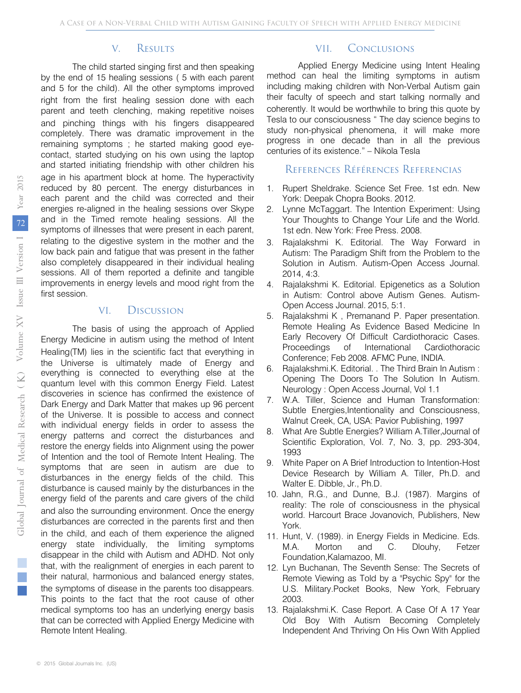# V. Results

The child started singing first and then speaking by the end of 15 healing sessions ( 5 with each parent and 5 for the child). All the other symptoms improved right from the first healing session done with each parent and teeth clenching, making repetitive noises and pinching things with his fingers disappeared completely. There was dramatic improvement in the remaining symptoms ; he started making good eyecontact, started studying on his own using the laptop and started initiating friendship with other children his age in his apartment block at home. The hyperactivity reduced by 80 percent. The energy disturbances in each parent and the child was corrected and their energies re-aligned in the healing sessions over Skype and in the Timed remote healing sessions. All the symptoms of illnesses that were present in each parent, relating to the digestive system in the mother and the low back pain and fatigue that was present in the father also completely disappeared in their individual healing sessions. All of them reported a definite and tangible improvements in energy levels and mood right from the first session.

## VI. Discussion

The basis of using the approach of Applied Energy Medicine in autism using the method of Intent Healing(TM) lies in the scientific fact that everything in the Universe is ultimately made of Energy and everything is connected to everything else at the quantum level with this common Energy Field. Latest discoveries in science has confirmed the existence of Dark Energy and Dark Matter that makes up 96 percent of the Universe. It is possible to access and connect with individual energy fields in order to assess the energy patterns and correct the disturbances and restore the energy fields into Alignment using the power of Intention and the tool of Remote Intent Healing. The symptoms that are seen in autism are due to disturbances in the energy fields of the child. This disturbance is caused mainly by the disturbances in the energy field of the parents and care givers of the child and also the surrounding environment. Once the energy disturbances are corrected in the parents first and then in the child, and each of them experience the aligned energy state individually, the limiting symptoms disappear in the child with Autism and ADHD. Not only that, with the realignment of energies in each parent to their natural, harmonious and balanced energy states, the symptoms of disease in the parents too disappears. This points to the fact that the root cause of other medical symptoms too has an underlying energy basis that can be corrected with Applied Energy Medicine with Remote Intent Healing.

# VII. Conclusions

Applied Energy Medicine using Intent Healing method can heal the limiting symptoms in autism including making children with Non-Verbal Autism gain their faculty of speech and start talking normally and coherently. It would be worthwhile to bring this quote by Tesla to our consciousness " The day science begins to study non-physical phenomena, it will make more progress in one decade than in all the previous centuries of its existence." – Nikola Tesla

## References Références Referencias

- 1. Rupert Sheldrake. Science Set Free. 1st edn. New York: Deepak Chopra Books. 2012.
- 2. Lynne McTaggart. The Intention Experiment: Using Your Thoughts to Change Your Life and the World. 1st edn. New York: Free Press. 2008.
- 3. Rajalakshmi K. Editorial. The Way Forward in Autism: The Paradigm Shift from the Problem to the Solution in Autism. Autism-Open Access Journal. 2014, 4:3.
- 4. Rajalakshmi K. Editorial. Epigenetics as a Solution in Autism: Control above Autism Genes. Autism-Open Access Journal. 2015, 5:1.
- 5. Rajalakshmi K , Premanand P. Paper presentation. Remote Healing As Evidence Based Medicine In Early Recovery Of Difficult Cardiothoracic Cases. Proceedings of International Cardiothoracic Conference; Feb 2008. AFMC Pune, INDIA.
- 6. Rajalakshmi.K. Editorial. . The Third Brain In Autism : Opening The Doors To The Solution In Autism. Neurology : Open Access Journal, Vol 1.1
- 7. W.A. Tiller, Science and Human Transformation: Subtle Energies,Intentionality and Consciousness, Walnut Creek, CA, USA: Pavior Publishing, 1997
- 8. What Are Subtle Energies? William A.Tiller,Journal of Scientific Exploration, Vol. 7, No. 3, pp. 293-304, 1993
- 9. White Paper on A Brief Introduction to Intention-Host Device Research by William A. Tiller, Ph.D. and Walter E. Dibble, Jr., Ph.D.
- 10. Jahn, R.G., and Dunne, B.J. (1987). Margins of reality: The role of consciousness in the physical world. Harcourt Brace Jovanovich, Publishers, New York.
- 11. Hunt, V. (1989). in Energy Fields in Medicine. Eds. M.A. Morton and C. Dlouhy, Fetzer Foundation,Kalamazoo, MI.
- 12. Lyn Buchanan, The Seventh Sense: The Secrets of Remote Viewing as Told by a "Psychic Spy" for the U.S. Military.Pocket Books, New York, February 2003.
- 13. Rajalakshmi.K. Case Report. A Case Of A 17 Year Old Boy With Autism Becoming Completely Independent And Thriving On His Own With Applied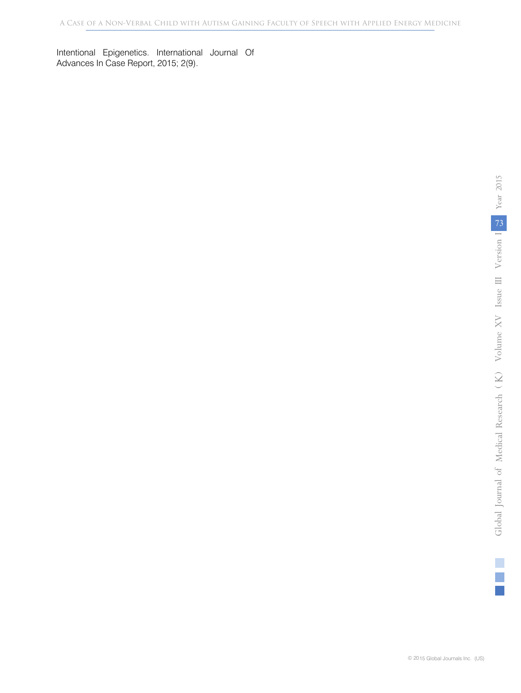Intentional Epigenetics. International Journal Of Advances In Case Report, 2015; 2(9).